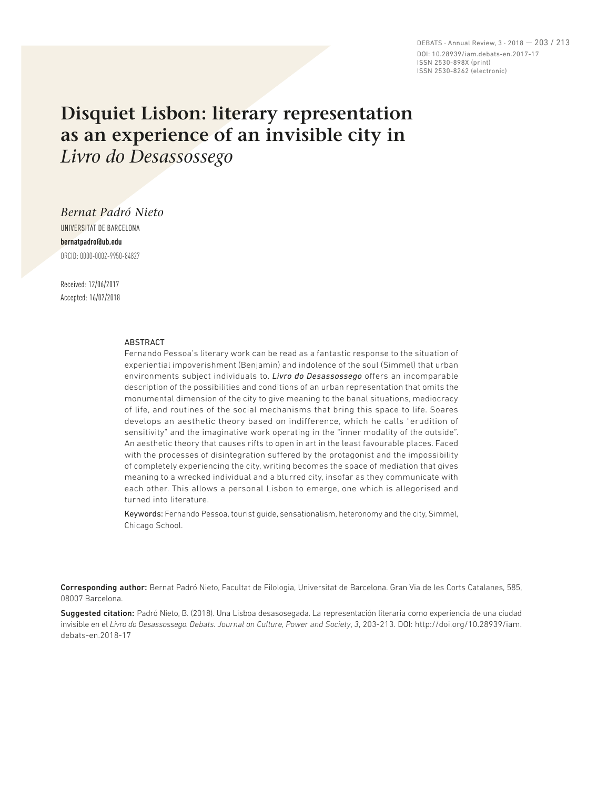DEBATS · Annual Review, 3 · 2018 — 203 / 213 DOI: 10.28939/iam.debats-en.2017-17 ISSN 2530-898X (print) ISSN 2530-8262 (electronic)

# **Disquiet Lisbon: literary representation as an experience of an invisible city in**  *Livro do Desassossego*

*Bernat Padró Nieto* UNIVERSITAT DE BARCELONA

**bernatpadro@ub.edu** ORCID: 0000-0002-9950-84827

Received: 12/06/2017 Accepted: 16/07/2018

#### ABSTRACT

Fernando Pessoa's literary work can be read as a fantastic response to the situation of experiential impoverishment (Benjamin) and indolence of the soul (Simmel) that urban environments subject individuals to. *Livro do Desassossego* offers an incomparable description of the possibilities and conditions of an urban representation that omits the monumental dimension of the city to give meaning to the banal situations, mediocracy of life, and routines of the social mechanisms that bring this space to life. Soares develops an aesthetic theory based on indifference, which he calls "erudition of sensitivity" and the imaginative work operating in the "inner modality of the outside". An aesthetic theory that causes rifts to open in art in the least favourable places. Faced with the processes of disintegration suffered by the protagonist and the impossibility of completely experiencing the city, writing becomes the space of mediation that gives meaning to a wrecked individual and a blurred city, insofar as they communicate with each other. This allows a personal Lisbon to emerge, one which is allegorised and turned into literature.

Keywords: Fernando Pessoa, tourist guide, sensationalism, heteronomy and the city, Simmel, Chicago School.

Corresponding author: Bernat Padró Nieto, Facultat de Filologia, Universitat de Barcelona. Gran Via de les Corts Catalanes, 585, 08007 Barcelona.

Suggested citation: Padró Nieto, B. (2018). Una Lisboa desasosegada. La representación literaria como experiencia de una ciudad invisible en el *Livro do Desassossego. Debats. Journal on Culture, Power and Society*, *3*, 203-213. DOI: http://doi.org/10.28939/iam. debats-en.2018-17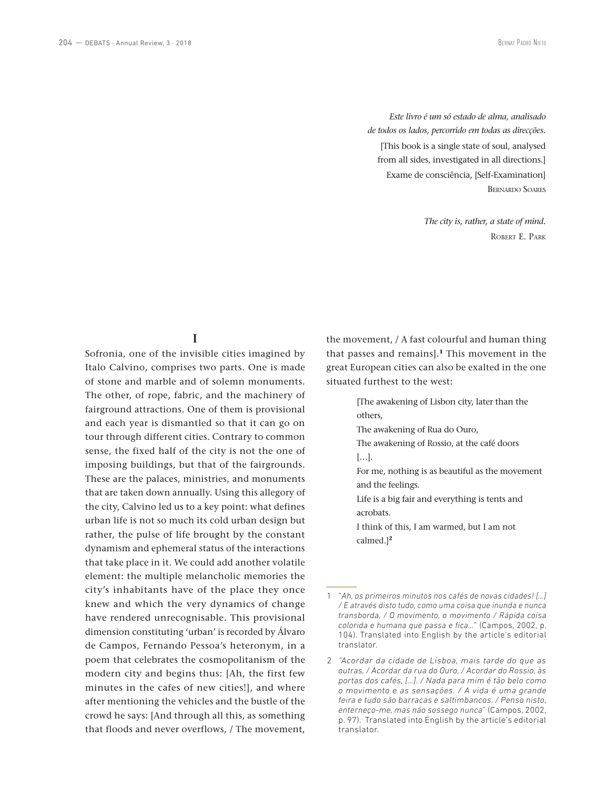*Este livro é um só estado de alma, analisado de todos os lados, percorrido em todas as direcções.* [This book is a single state of soul, analysed from all sides, investigated in all directions.] Exame de consciência, [Self-Examination] Bernardo Soares

> *The city is, rather, a state of mind.* Robert E. Park

#### **I**

Sofronia, one of the invisible cities imagined by Italo Calvino, comprises two parts. One is made of stone and marble and of solemn monuments. The other, of rope, fabric, and the machinery of fairground attractions. One of them is provisional and each year is dismantled so that it can go on tour through different cities. Contrary to common sense, the fixed half of the city is not the one of imposing buildings, but that of the fairgrounds. These are the palaces, ministries, and monuments that are taken down annually. Using this allegory of the city, Calvino led us to a key point: what defines urban life is not so much its cold urban design but rather, the pulse of life brought by the constant dynamism and ephemeral status of the interactions that take place in it. We could add another volatile element: the multiple melancholic memories the city's inhabitants have of the place they once knew and which the very dynamics of change have rendered unrecognisable. This provisional dimension constituting 'urban' is recorded by Álvaro de Campos, Fernando Pessoa's heteronym, in a poem that celebrates the cosmopolitanism of the modern city and begins thus: [Ah, the first few minutes in the cafes of new cities!], and where after mentioning the vehicles and the bustle of the crowd he says: [And through all this, as something that floods and never overflows, / The movement,

the movement, / A fast colourful and human thing that passes and remains].**<sup>1</sup>** This movement in the great European cities can also be exalted in the one situated furthest to the west:

> [The awakening of Lisbon city, later than the others,

The awakening of Rua do Ouro,

The awakening of Rossio, at the café doors […].

For me, nothing is as beautiful as the movement and the feelings.

Life is a big fair and everything is tents and acrobats.

I think of this, I am warmed, but I am not calmed.]**<sup>2</sup>**

<sup>1</sup> "*Ah, os primeiros minutos nos cafés de novas cidades! […] / E através disto tudo, como uma coisa que inunda e nunca transborda, / O movimento, o movimento / Rápida coisa colorida e humana que passa e fica…*" (Campos, 2002, p. 104). Translated into English by the article's editorial translator.

<sup>2</sup> *"Acordar da cidade de Lisboa, mais tarde do que as outras, / Acordar da rua do Ouro, / Acordar do Rossio, às portas dos cafés, […]. / Nada para mim é tão belo como o movimento e as sensações. / A vida é uma grande feira e tudo são barracas e saltimbancos. / Penso nisto, enterneço-me, mas não sossego nunca*" (Campos, 2002, p. 97). Translated into English by the article's editorial translator.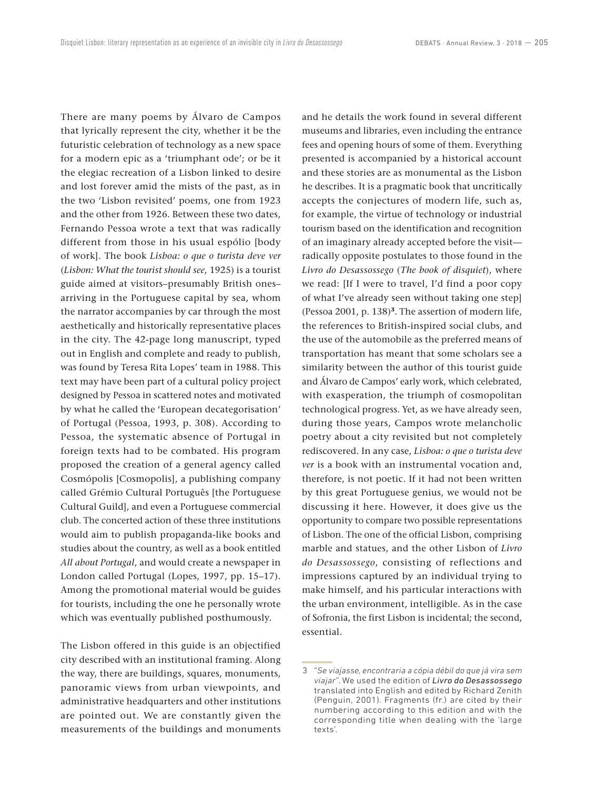There are many poems by Álvaro de Campos that lyrically represent the city, whether it be the futuristic celebration of technology as a new space for a modern epic as a 'triumphant ode'; or be it the elegiac recreation of a Lisbon linked to desire and lost forever amid the mists of the past, as in the two 'Lisbon revisited' poems, one from 1923 and the other from 1926. Between these two dates, Fernando Pessoa wrote a text that was radically different from those in his usual espólio [body of work]. The book *Lisboa: o que o turista deve ver* (*Lisbon: What the tourist should see,* 1925) is a tourist guide aimed at visitors–presumably British ones– arriving in the Portuguese capital by sea, whom the narrator accompanies by car through the most aesthetically and historically representative places in the city. The 42-page long manuscript, typed out in English and complete and ready to publish, was found by Teresa Rita Lopes' team in 1988. This text may have been part of a cultural policy project designed by Pessoa in scattered notes and motivated by what he called the 'European decategorisation' of Portugal (Pessoa, 1993, p. 308). According to Pessoa, the systematic absence of Portugal in foreign texts had to be combated. His program proposed the creation of a general agency called Cosmópolis [Cosmopolis], a publishing company called Grémio Cultural Português [the Portuguese Cultural Guild], and even a Portuguese commercial club. The concerted action of these three institutions would aim to publish propaganda-like books and studies about the country, as well as a book entitled *All about Portugal*, and would create a newspaper in London called Portugal (Lopes, 1997, pp. 15–17). Among the promotional material would be guides for tourists, including the one he personally wrote which was eventually published posthumously.

The Lisbon offered in this guide is an objectified city described with an institutional framing. Along the way, there are buildings, squares, monuments, panoramic views from urban viewpoints, and administrative headquarters and other institutions are pointed out. We are constantly given the measurements of the buildings and monuments and he details the work found in several different museums and libraries, even including the entrance fees and opening hours of some of them. Everything presented is accompanied by a historical account and these stories are as monumental as the Lisbon he describes. It is a pragmatic book that uncritically accepts the conjectures of modern life, such as, for example, the virtue of technology or industrial tourism based on the identification and recognition of an imaginary already accepted before the visit radically opposite postulates to those found in the *Livro do Desassossego* (*The book of disquiet*), where we read: [If I were to travel, I'd find a poor copy of what I've already seen without taking one step] (Pessoa 2001, p. 138)**<sup>3</sup>**. The assertion of modern life, the references to British-inspired social clubs, and the use of the automobile as the preferred means of transportation has meant that some scholars see a similarity between the author of this tourist guide and Álvaro de Campos' early work, which celebrated, with exasperation, the triumph of cosmopolitan technological progress. Yet, as we have already seen, during those years, Campos wrote melancholic poetry about a city revisited but not completely rediscovered. In any case, *Lisboa: o que o turista deve ver* is a book with an instrumental vocation and, therefore, is not poetic. If it had not been written by this great Portuguese genius, we would not be discussing it here. However, it does give us the opportunity to compare two possible representations of Lisbon. The one of the official Lisbon, comprising marble and statues, and the other Lisbon of *Livro do Desassossego*, consisting of reflections and impressions captured by an individual trying to make himself, and his particular interactions with the urban environment, intelligible. As in the case of Sofronia, the first Lisbon is incidental; the second, essential.

<sup>3</sup> "*Se viajasse, encontraria a cópia débil do que já vira sem viajar*". We used the edition of *Livro do Desassossego* translated into English and edited by Richard Zenith (Penguin, 2001). Fragments (fr.) are cited by their numbering according to this edition and with the corresponding title when dealing with the 'large texts'.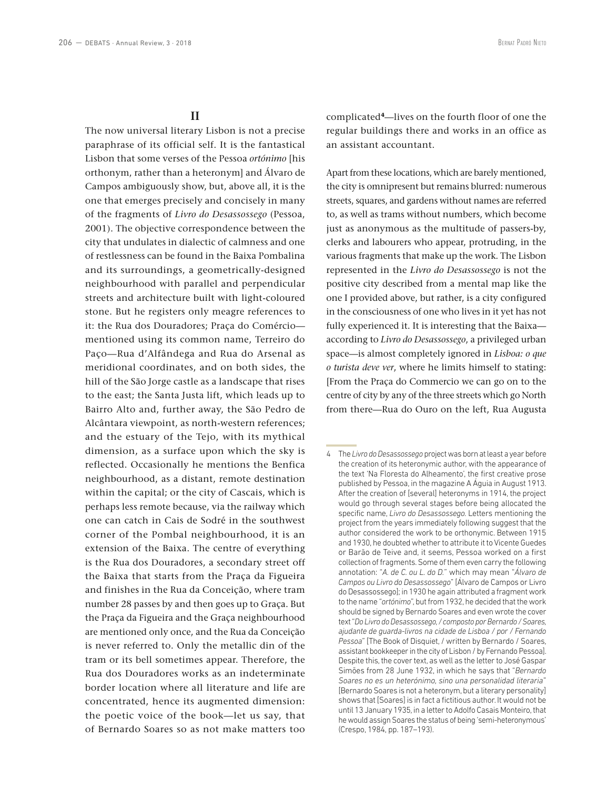## **II**

The now universal literary Lisbon is not a precise paraphrase of its official self. It is the fantastical Lisbon that some verses of the Pessoa *ortónimo* [his orthonym, rather than a heteronym] and Álvaro de Campos ambiguously show, but, above all, it is the one that emerges precisely and concisely in many of the fragments of *Livro do Desassossego* (Pessoa, 2001). The objective correspondence between the city that undulates in dialectic of calmness and one of restlessness can be found in the Baixa Pombalina and its surroundings, a geometrically-designed neighbourhood with parallel and perpendicular streets and architecture built with light-coloured stone. But he registers only meagre references to it: the Rua dos Douradores; Praça do Comércio mentioned using its common name, Terreiro do Paço—Rua d'Alfândega and Rua do Arsenal as meridional coordinates, and on both sides, the hill of the São Jorge castle as a landscape that rises to the east; the Santa Justa lift, which leads up to Bairro Alto and, further away, the São Pedro de Alcântara viewpoint, as north-western references; and the estuary of the Tejo, with its mythical dimension, as a surface upon which the sky is reflected. Occasionally he mentions the Benfica neighbourhood, as a distant, remote destination within the capital; or the city of Cascais, which is perhaps less remote because, via the railway which one can catch in Cais de Sodré in the southwest corner of the Pombal neighbourhood, it is an extension of the Baixa. The centre of everything is the Rua dos Douradores, a secondary street off the Baixa that starts from the Praça da Figueira and finishes in the Rua da Conceição, where tram number 28 passes by and then goes up to Graça. But the Praça da Figueira and the Graça neighbourhood are mentioned only once, and the Rua da Conceição is never referred to. Only the metallic din of the tram or its bell sometimes appear. Therefore, the Rua dos Douradores works as an indeterminate border location where all literature and life are concentrated, hence its augmented dimension: the poetic voice of the book—let us say, that of Bernardo Soares so as not make matters too complicated**<sup>4</sup>**—lives on the fourth floor of one the regular buildings there and works in an office as an assistant accountant.

Apart from these locations, which are barely mentioned, the city is omnipresent but remains blurred: numerous streets, squares, and gardens without names are referred to, as well as trams without numbers, which become just as anonymous as the multitude of passers-by, clerks and labourers who appear, protruding, in the various fragments that make up the work. The Lisbon represented in the *Livro do Desassossego* is not the positive city described from a mental map like the one I provided above, but rather, is a city configured in the consciousness of one who lives in it yet has not fully experienced it. It is interesting that the Baixa according to *Livro do Desassossego*, a privileged urban space—is almost completely ignored in *Lisboa: o que o turista deve ver*, where he limits himself to stating: [From the Praça do Commercio we can go on to the centre of city by any of the three streets which go North from there—Rua do Ouro on the left, Rua Augusta

<sup>4</sup> The *Livro do Desassossego* project was born at least a year before the creation of its heteronymic author, with the appearance of the text 'Na Floresta do Alheamento', the first creative prose published by Pessoa, in the magazine A Águia in August 1913. After the creation of [several] heteronyms in 1914, the project would go through several stages before being allocated the specific name, *Livro do Desassossego.* Letters mentioning the project from the years immediately following suggest that the author considered the work to be orthonymic. Between 1915 and 1930, he doubted whether to attribute it to Vicente Guedes or Barão de Teive and, it seems, Pessoa worked on a first collection of fragments. Some of them even carry the following annotation: "*A. de C. ou L. do D.*" which may mean "*Álvaro de Campos ou Livro do Desassossego*" [Álvaro de Campos or Livro do Desassossego]; in 1930 he again attributed a fragment work to the name "*ortónimo*", but from 1932, he decided that the work should be signed by Bernardo Soares and even wrote the cover text "*Do Livro do Desassossego, / composto por Bernardo / Soares, ajudante de guarda-livros na cidade de Lisboa / por / Fernando Pessoa*" [The Book of Disquiet, / written by Bernardo / Soares, assistant bookkeeper in the city of Lisbon / by Fernando Pessoa]. Despite this, the cover text, as well as the letter to José Gaspar Simões from 28 June 1932, in which he says that "*Bernardo Soares no es un heterónimo, sino una personalidad literaria*" [Bernardo Soares is not a heteronym, but a literary personality] shows that [Soares] is in fact a fictitious author. It would not be until 13 January 1935, in a letter to Adolfo Casais Monteiro, that he would assign Soares the status of being 'semi-heteronymous' (Crespo, 1984, pp. 187–193).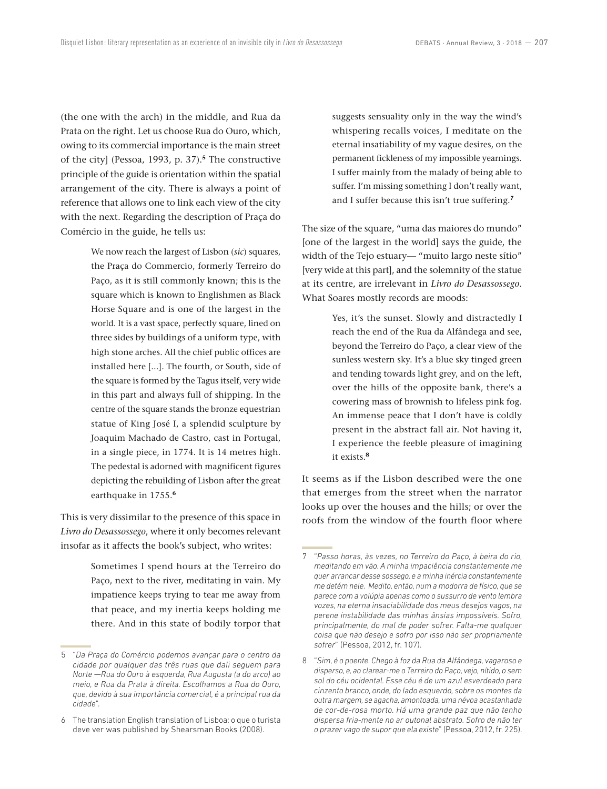(the one with the arch) in the middle, and Rua da Prata on the right. Let us choose Rua do Ouro, which, owing to its commercial importance is the main street of the city] (Pessoa, 1993, p. 37).**<sup>5</sup>** The constructive principle of the guide is orientation within the spatial arrangement of the city. There is always a point of reference that allows one to link each view of the city with the next. Regarding the description of Praça do Comércio in the guide, he tells us:

> We now reach the largest of Lisbon (*sic*) squares, the Praça do Commercio, formerly Terreiro do Paço, as it is still commonly known; this is the square which is known to Englishmen as Black Horse Square and is one of the largest in the world. It is a vast space, perfectly square, lined on three sides by buildings of a uniform type, with high stone arches. All the chief public offices are installed here [...]. The fourth, or South, side of the square is formed by the Tagus itself, very wide in this part and always full of shipping. In the centre of the square stands the bronze equestrian statue of King José I, a splendid sculpture by Joaquim Machado de Castro, cast in Portugal, in a single piece, in 1774. It is 14 metres high. The pedestal is adorned with magnificent figures depicting the rebuilding of Lisbon after the great earthquake in 1755.**<sup>6</sup>**

This is very dissimilar to the presence of this space in *Livro do Desassossego*, where it only becomes relevant insofar as it affects the book's subject, who writes:

> Sometimes I spend hours at the Terreiro do Paço, next to the river, meditating in vain. My impatience keeps trying to tear me away from that peace, and my inertia keeps holding me there. And in this state of bodily torpor that

suggests sensuality only in the way the wind's whispering recalls voices, I meditate on the eternal insatiability of my vague desires, on the permanent fickleness of my impossible yearnings. I suffer mainly from the malady of being able to suffer. I'm missing something I don't really want, and I suffer because this isn't true suffering.**<sup>7</sup>**

The size of the square, "uma das maiores do mundo" [one of the largest in the world] says the guide, the width of the Tejo estuary— "muito largo neste sítio" [very wide at this part], and the solemnity of the statue at its centre, are irrelevant in *Livro do Desassossego*. What Soares mostly records are moods:

> Yes, it's the sunset. Slowly and distractedly I reach the end of the Rua da Alfândega and see, beyond the Terreiro do Paço, a clear view of the sunless western sky. It's a blue sky tinged green and tending towards light grey, and on the left, over the hills of the opposite bank, there's a cowering mass of brownish to lifeless pink fog. An immense peace that I don't have is coldly present in the abstract fall air. Not having it, I experience the feeble pleasure of imagining it exists.**<sup>8</sup>**

It seems as if the Lisbon described were the one that emerges from the street when the narrator looks up over the houses and the hills; or over the roofs from the window of the fourth floor where

<sup>5</sup> "*Da Praça do Comércio podemos avançar para o centro da cidade por qualquer das três ruas que dali seguem para Norte —Rua do Ouro à esquerda, Rua Augusta (a do arco) ao meio, e Rua da Prata à direita. Escolhamos a Rua do Ouro, que, devido à sua importância comercial, é a principal rua da cidade*".

<sup>6</sup> The translation English translation of Lisboa: o que o turista deve ver was published by Shearsman Books (2008).

<sup>7</sup> "*Passo horas, às vezes, no Terreiro do Paço, à beira do rio, meditando em vão. A minha impaciência constantemente me quer arrancar desse sossego, e a minha inércia constantemente me detém nele. Medito, então, num a modorra de físico, que se parece com a volúpia apenas como o sussurro de vento lembra vozes, na eterna insaciabilidade dos meus desejos vagos, na perene instabilidade das minhas ânsias impossíveis. Sofro, principalmente, do mal de poder sofrer. Falta-me qualquer coisa que não desejo e sofro por isso não ser propriamente sofrer*" (Pessoa, 2012, fr. 107).

<sup>8</sup> "*Sim, é o poente. Chego à foz da Rua da Alfândega, vagaroso e disperso, e, ao clarear-me o Terreiro do Paço, vejo, nítido, o sem sol do céu ocidental. Esse céu é de um azul esverdeado para cinzento branco, onde, do lado esquerdo, sobre os montes da outra margem, se agacha, amontoada, uma névoa acastanhada de cor-de-rosa morto. Há uma grande paz que não tenho dispersa fria-mente no ar outonal abstrato. Sofro de não ter o prazer vago de supor que ela existe*" (Pessoa, 2012, fr. 225).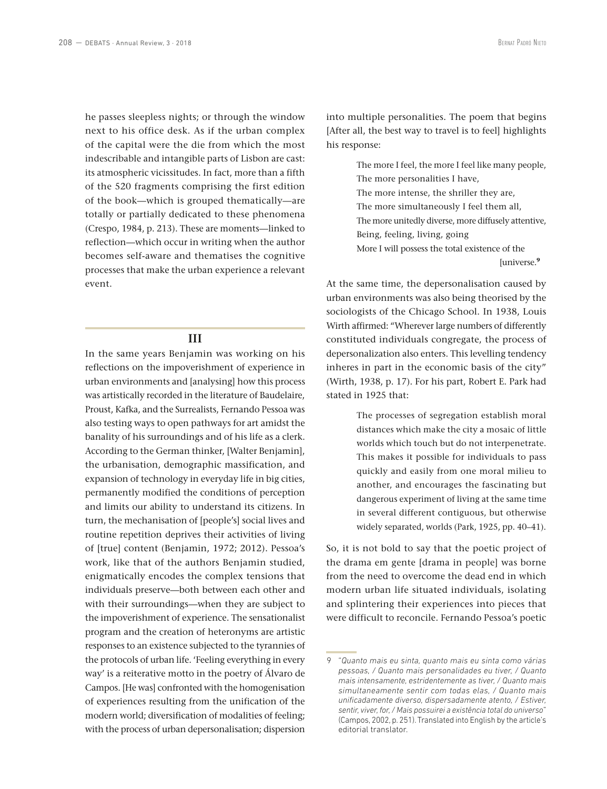he passes sleepless nights; or through the window next to his office desk. As if the urban complex of the capital were the die from which the most indescribable and intangible parts of Lisbon are cast: its atmospheric vicissitudes. In fact, more than a fifth of the 520 fragments comprising the first edition of the book—which is grouped thematically—are totally or partially dedicated to these phenomena (Crespo, 1984, p. 213). These are moments—linked to reflection—which occur in writing when the author becomes self-aware and thematises the cognitive processes that make the urban experience a relevant event.

#### **III**

In the same years Benjamin was working on his reflections on the impoverishment of experience in urban environments and [analysing] how this process was artistically recorded in the literature of Baudelaire, Proust, Kafka, and the Surrealists, Fernando Pessoa was also testing ways to open pathways for art amidst the banality of his surroundings and of his life as a clerk. According to the German thinker, [Walter Benjamin], the urbanisation, demographic massification, and expansion of technology in everyday life in big cities, permanently modified the conditions of perception and limits our ability to understand its citizens. In turn, the mechanisation of [people's] social lives and routine repetition deprives their activities of living of [true] content (Benjamin, 1972; 2012). Pessoa's work, like that of the authors Benjamin studied, enigmatically encodes the complex tensions that individuals preserve—both between each other and with their surroundings—when they are subject to the impoverishment of experience. The sensationalist program and the creation of heteronyms are artistic responses to an existence subjected to the tyrannies of the protocols of urban life. 'Feeling everything in every way' is a reiterative motto in the poetry of Álvaro de Campos. [He was] confronted with the homogenisation of experiences resulting from the unification of the modern world; diversification of modalities of feeling; with the process of urban depersonalisation; dispersion

into multiple personalities. The poem that begins [After all, the best way to travel is to feel] highlights his response:

> The more I feel, the more I feel like many people, The more personalities I have, The more intense, the shriller they are, The more simultaneously I feel them all, The more unitedly diverse, more diffusely attentive, Being, feeling, living, going More I will possess the total existence of the

[universe.**<sup>9</sup>**

At the same time, the depersonalisation caused by urban environments was also being theorised by the sociologists of the Chicago School. In 1938, Louis Wirth affirmed: "Wherever large numbers of differently constituted individuals congregate, the process of depersonalization also enters. This levelling tendency inheres in part in the economic basis of the city" (Wirth, 1938, p. 17). For his part, Robert E. Park had stated in 1925 that:

> The processes of segregation establish moral distances which make the city a mosaic of little worlds which touch but do not interpenetrate. This makes it possible for individuals to pass quickly and easily from one moral milieu to another, and encourages the fascinating but dangerous experiment of living at the same time in several different contiguous, but otherwise widely separated, worlds (Park, 1925, pp. 40–41).

So, it is not bold to say that the poetic project of the drama em gente [drama in people] was borne from the need to overcome the dead end in which modern urban life situated individuals, isolating and splintering their experiences into pieces that were difficult to reconcile. Fernando Pessoa's poetic

<sup>9</sup> "*Quanto mais eu sinta, quanto mais eu sinta como várias pessoas, / Quanto mais personalidades eu tiver, / Quanto mais intensamente, estridentemente as tiver, / Quanto mais simultaneamente sentir com todas elas, / Quanto mais unificadamente diverso, dispersadamente atento, / Estiver, sentir, viver, for, / Mais possuirei a existência total do universo*" (Campos, 2002, p. 251). Translated into English by the article's editorial translator.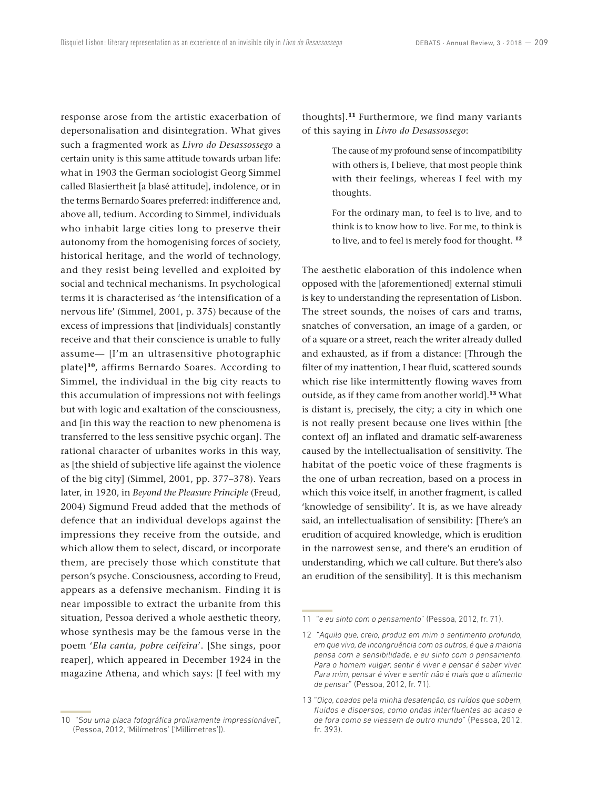response arose from the artistic exacerbation of depersonalisation and disintegration. What gives such a fragmented work as *Livro do Desassossego* a certain unity is this same attitude towards urban life: what in 1903 the German sociologist Georg Simmel called Blasiertheit [a blasé attitude], indolence, or in the terms Bernardo Soares preferred: indifference and, above all, tedium. According to Simmel, individuals who inhabit large cities long to preserve their autonomy from the homogenising forces of society, historical heritage, and the world of technology, and they resist being levelled and exploited by social and technical mechanisms. In psychological terms it is characterised as 'the intensification of a nervous life' (Simmel, 2001, p. 375) because of the excess of impressions that [individuals] constantly receive and that their conscience is unable to fully assume— [I'm an ultrasensitive photographic plate]**<sup>10</sup>**, affirms Bernardo Soares. According to Simmel, the individual in the big city reacts to this accumulation of impressions not with feelings but with logic and exaltation of the consciousness, and [in this way the reaction to new phenomena is transferred to the less sensitive psychic organ]. The rational character of urbanites works in this way, as [the shield of subjective life against the violence of the big city] (Simmel, 2001, pp. 377–378). Years later, in 1920, in *Beyond the Pleasure Principle* (Freud, 2004) Sigmund Freud added that the methods of defence that an individual develops against the impressions they receive from the outside, and which allow them to select, discard, or incorporate them, are precisely those which constitute that person's psyche. Consciousness, according to Freud, appears as a defensive mechanism. Finding it is near impossible to extract the urbanite from this situation, Pessoa derived a whole aesthetic theory, whose synthesis may be the famous verse in the poem '*Ela canta, pobre ceifeira*'. [She sings, poor reaper], which appeared in December 1924 in the magazine Athena, and which says: [I feel with my thoughts].**<sup>11</sup>** Furthermore, we find many variants of this saying in *Livro do Desassossego*:

> The cause of my profound sense of incompatibility with others is, I believe, that most people think with their feelings, whereas I feel with my thoughts.

> For the ordinary man, to feel is to live, and to think is to know how to live. For me, to think is to live, and to feel is merely food for thought. **<sup>12</sup>**

The aesthetic elaboration of this indolence when opposed with the [aforementioned] external stimuli is key to understanding the representation of Lisbon. The street sounds, the noises of cars and trams, snatches of conversation, an image of a garden, or of a square or a street, reach the writer already dulled and exhausted, as if from a distance: [Through the filter of my inattention, I hear fluid, scattered sounds which rise like intermittently flowing waves from outside, as if they came from another world].**<sup>13</sup>** What is distant is, precisely, the city; a city in which one is not really present because one lives within [the context of] an inflated and dramatic self-awareness caused by the intellectualisation of sensitivity. The habitat of the poetic voice of these fragments is the one of urban recreation, based on a process in which this voice itself, in another fragment, is called 'knowledge of sensibility'. It is, as we have already said, an intellectualisation of sensibility: [There's an erudition of acquired knowledge, which is erudition in the narrowest sense, and there's an erudition of understanding, which we call culture. But there's also an erudition of the sensibility]. It is this mechanism

<sup>10 &</sup>quot;*Sou uma placa fotográfica prolixamente impressionável*", (Pessoa, 2012, 'Milímetros' ['Millimetres']).

<sup>11 &</sup>quot;*e eu sinto com o pensamento*" (Pessoa, 2012, fr. 71).

<sup>12 &</sup>quot;*Aquilo que, creio, produz em mim o sentimento profundo, em que vivo, de incongruência com os outros, é que a maioria pensa com a sensibilidade, e eu sinto com o pensamento. Para o homem vulgar, sentir é viver e pensar é saber viver. Para mim, pensar é viver e sentir não é mais que o alimento de pensar*" (Pessoa, 2012, fr. 71).

<sup>13</sup> "*Oiço, coados pela minha desatenção, os ruídos que sobem, fluidos e dispersos, como ondas interfluentes ao acaso e de fora como se viessem de outro mundo*" (Pessoa, 2012, fr. 393).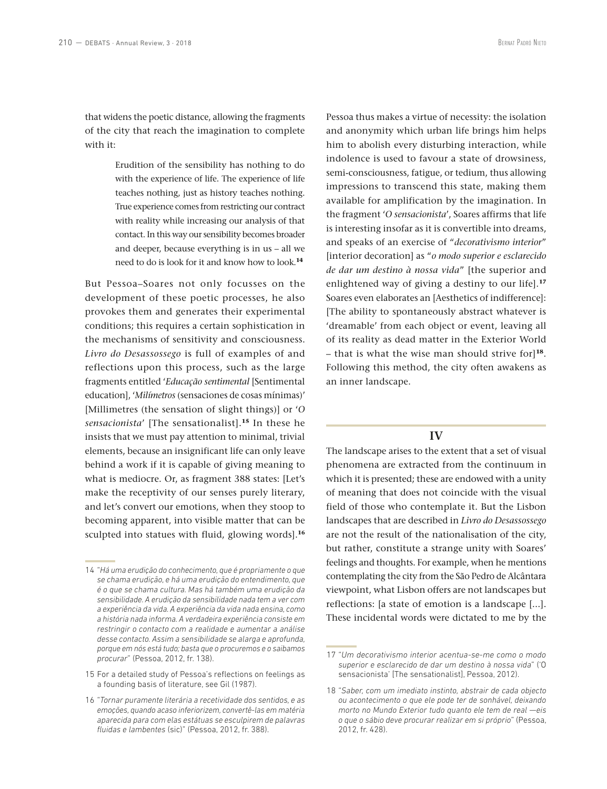that widens the poetic distance, allowing the fragments of the city that reach the imagination to complete with it:

> Erudition of the sensibility has nothing to do with the experience of life. The experience of life teaches nothing, just as history teaches nothing. True experience comes from restricting our contract with reality while increasing our analysis of that contact. In this way our sensibility becomes broader and deeper, because everything is in us – all we need to do is look for it and know how to look.**<sup>14</sup>**

But Pessoa–Soares not only focusses on the development of these poetic processes, he also provokes them and generates their experimental conditions; this requires a certain sophistication in the mechanisms of sensitivity and consciousness. *Livro do Desassossego* is full of examples of and reflections upon this process, such as the large fragments entitled '*Educação sentimental* [Sentimental education], '*Milímetros* (sensaciones de cosas mínimas)' [Millimetres (the sensation of slight things)] or '*O sensacionista*' [The sensationalist].**<sup>15</sup>** In these he insists that we must pay attention to minimal, trivial elements, because an insignificant life can only leave behind a work if it is capable of giving meaning to what is mediocre. Or, as fragment 388 states: [Let's make the receptivity of our senses purely literary, and let's convert our emotions, when they stoop to becoming apparent, into visible matter that can be sculpted into statues with fluid, glowing words].**<sup>16</sup>**

Pessoa thus makes a virtue of necessity: the isolation and anonymity which urban life brings him helps him to abolish every disturbing interaction, while indolence is used to favour a state of drowsiness, semi-consciousness, fatigue, or tedium, thus allowing impressions to transcend this state, making them available for amplification by the imagination. In the fragment '*O sensacionista*', Soares affirms that life is interesting insofar as it is convertible into dreams, and speaks of an exercise of "*decorativismo interior*" [interior decoration] as "*o modo superior e esclarecido de dar um destino à nossa vida*" [the superior and enlightened way of giving a destiny to our life].**<sup>17</sup>** Soares even elaborates an [Aesthetics of indifference]: [The ability to spontaneously abstract whatever is 'dreamable' from each object or event, leaving all of its reality as dead matter in the Exterior World – that is what the wise man should strive for]**<sup>18</sup>**. Following this method, the city often awakens as an inner landscape.

# **IV**

The landscape arises to the extent that a set of visual phenomena are extracted from the continuum in which it is presented; these are endowed with a unity of meaning that does not coincide with the visual field of those who contemplate it. But the Lisbon landscapes that are described in *Livro do Desassossego* are not the result of the nationalisation of the city, but rather, constitute a strange unity with Soares' feelings and thoughts. For example, when he mentions contemplating the city from the São Pedro de Alcântara viewpoint, what Lisbon offers are not landscapes but reflections: [a state of emotion is a landscape [...]. These incidental words were dictated to me by the

<sup>14</sup> "*Há uma erudição do conhecimento, que é propriamente o que se chama erudição, e há uma erudição do entendimento, que é o que se chama cultura. Mas há também uma erudição da sensibilidade. A erudição da sensibilidade nada tem a ver com a experiência da vida. A experiência da vida nada ensina, como a história nada informa. A verdadeira experiência consiste em restringir o contacto com a realidade e aumentar a análise desse contacto. Assim a sensibilidade se alarga e aprofunda, porque em nós está tudo; basta que o procuremos e o saibamos procurar*" (Pessoa, 2012, fr. 138).

<sup>15</sup> For a detailed study of Pessoa's reflections on feelings as a founding basis of literature, see Gil (1987).

<sup>16</sup> "*Tornar puramente literária a recetividade dos sentidos, e as emoções, quando acaso inferiorizem, convertê-las em matéria aparecida para com elas estátuas se esculpirem de palavras fluidas e lambentes* (sic)" (Pessoa, 2012, fr. 388).

<sup>17</sup> "*Um decorativismo interior acentua-se-me como o modo superior e esclarecido de dar um destino à nossa vida*" ('O sensacionista' [The sensationalist], Pessoa, 2012).

<sup>18</sup> "*Saber, com um imediato instinto, abstrair de cada objecto ou acontecimento o que ele pode ter de sonhável, deixando morto no Mundo Exterior tudo quanto ele tem de real —eis o que o sábio deve procurar realizar em si próprio*" (Pessoa, 2012, fr. 428).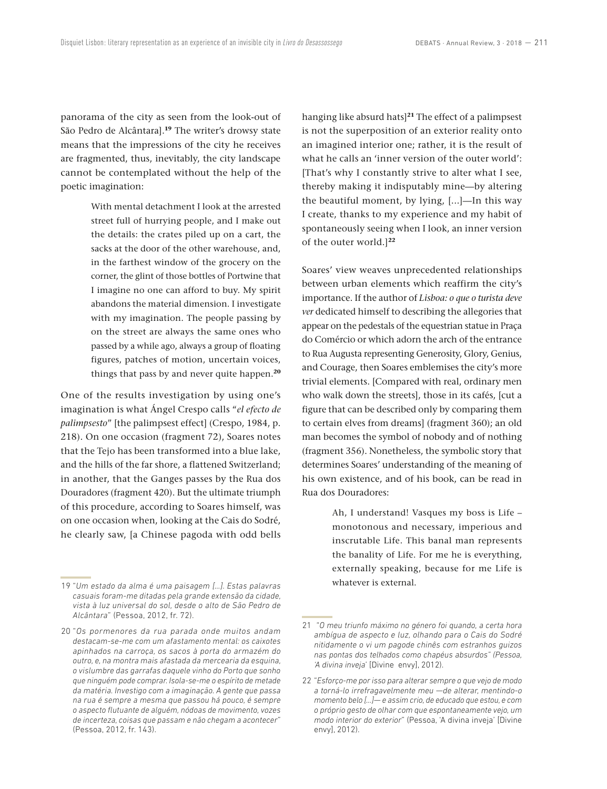panorama of the city as seen from the look-out of São Pedro de Alcântara].**<sup>19</sup>** The writer's drowsy state means that the impressions of the city he receives are fragmented, thus, inevitably, the city landscape cannot be contemplated without the help of the poetic imagination:

> With mental detachment I look at the arrested street full of hurrying people, and I make out the details: the crates piled up on a cart, the sacks at the door of the other warehouse, and, in the farthest window of the grocery on the corner, the glint of those bottles of Portwine that I imagine no one can afford to buy. My spirit abandons the material dimension. I investigate with my imagination. The people passing by on the street are always the same ones who passed by a while ago, always a group of floating figures, patches of motion, uncertain voices, things that pass by and never quite happen.**<sup>20</sup>**

One of the results investigation by using one's imagination is what Ángel Crespo calls "*el efecto de palimpsesto*" [the palimpsest effect] (Crespo, 1984, p. 218). On one occasion (fragment 72), Soares notes that the Tejo has been transformed into a blue lake, and the hills of the far shore, a flattened Switzerland; in another, that the Ganges passes by the Rua dos Douradores (fragment 420). But the ultimate triumph of this procedure, according to Soares himself, was on one occasion when, looking at the Cais do Sodré, he clearly saw, [a Chinese pagoda with odd bells hanging like absurd hats]**<sup>21</sup>** The effect of a palimpsest is not the superposition of an exterior reality onto an imagined interior one; rather, it is the result of what he calls an 'inner version of the outer world': [That's why I constantly strive to alter what I see, thereby making it indisputably mine—by altering the beautiful moment, by lying, [...]—In this way I create, thanks to my experience and my habit of spontaneously seeing when I look, an inner version of the outer world.]**<sup>22</sup>**

Soares' view weaves unprecedented relationships between urban elements which reaffirm the city's importance. If the author of *Lisboa: o que o turista deve ver* dedicated himself to describing the allegories that appear on the pedestals of the equestrian statue in Praça do Comércio or which adorn the arch of the entrance to Rua Augusta representing Generosity, Glory, Genius, and Courage, then Soares emblemises the city's more trivial elements. [Compared with real, ordinary men who walk down the streets], those in its cafés, [cut a figure that can be described only by comparing them to certain elves from dreams] (fragment 360); an old man becomes the symbol of nobody and of nothing (fragment 356). Nonetheless, the symbolic story that determines Soares' understanding of the meaning of his own existence, and of his book, can be read in Rua dos Douradores:

> Ah, I understand! Vasques my boss is Life – monotonous and necessary, imperious and inscrutable Life. This banal man represents the banality of Life. For me he is everything, externally speaking, because for me Life is whatever is external.

<sup>19</sup> "*Um estado da alma é uma paisagem […]. Estas palavras casuais foram-me ditadas pela grande extensão da cidade, vista à luz universal do sol, desde o alto de São Pedro de Alcântara*" (Pessoa, 2012, fr. 72).

<sup>20</sup> "*Os pormenores da rua parada onde muitos andam destacam-se-me com um afastamento mental: os caixotes apinhados na carroça, os sacos à porta do armazém do outro, e, na montra mais afastada da mercearia da esquina, o vislumbre das garrafas daquele vinho do Porto que sonho que ninguém pode comprar. Isola-se-me o espírito de metade da matéria. Investigo com a imaginação. A gente que passa na rua é sempre a mesma que passou há pouco, é sempre o aspecto flutuante de alguém, nódoas de movimento, vozes de incerteza, coisas que passam e não chegam a acontecer*" (Pessoa, 2012, fr. 143).

<sup>21 &</sup>quot;*O meu triunfo máximo no género foi quando, a certa hora ambígua de aspecto e luz, olhando para o Cais do Sodré nitidamente o vi um pagode chinês com estranhos guizos nas pontas dos telhados como chapéus absurdos" (Pessoa, 'A divina inveja*' [Divine envy], 2012).

<sup>22</sup> "*Esforço-me por isso para alterar sempre o que vejo de modo a torná-lo irrefragavelmente meu —de alterar, mentindo-o momento belo […]— e assim crio, de educado que estou, e com o próprio gesto de olhar com que espontaneamente vejo, um modo interior do exterior*" (Pessoa, 'A divina inveja' [Divine envy], 2012).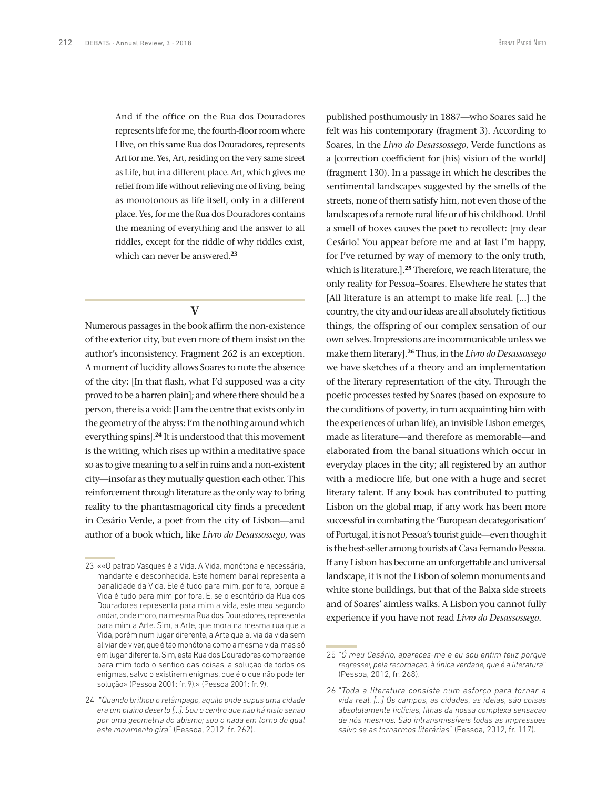And if the office on the Rua dos Douradores represents life for me, the fourth-floor room where I live, on this same Rua dos Douradores, represents Art for me. Yes, Art, residing on the very same street as Life, but in a different place. Art, which gives me relief from life without relieving me of living, being as monotonous as life itself, only in a different place. Yes, for me the Rua dos Douradores contains the meaning of everything and the answer to all riddles, except for the riddle of why riddles exist, which can never be answered.**<sup>23</sup>**

**V**

Numerous passages in the book affirm the non-existence of the exterior city, but even more of them insist on the author's inconsistency. Fragment 262 is an exception. A moment of lucidity allows Soares to note the absence of the city: [In that flash, what I'd supposed was a city proved to be a barren plain]; and where there should be a person, there is a void: [I am the centre that exists only in the geometry of the abyss: I'm the nothing around which everything spins].**<sup>24</sup>** It is understood that this movement is the writing, which rises up within a meditative space so as to give meaning to a self in ruins and a non-existent city—insofar as they mutually question each other. This reinforcement through literature as the only way to bring reality to the phantasmagorical city finds a precedent in Cesário Verde, a poet from the city of Lisbon—and author of a book which, like *Livro do Desassossego*, was published posthumously in 1887—who Soares said he felt was his contemporary (fragment 3). According to Soares, in the *Livro do Desassossego*, Verde functions as a [correction coefficient for {his} vision of the world] (fragment 130). In a passage in which he describes the sentimental landscapes suggested by the smells of the streets, none of them satisfy him, not even those of the landscapes of a remote rural life or of his childhood. Until a smell of boxes causes the poet to recollect: [my dear Cesário! You appear before me and at last I'm happy, for I've returned by way of memory to the only truth, which is literature.].**<sup>25</sup>** Therefore, we reach literature, the only reality for Pessoa–Soares. Elsewhere he states that [All literature is an attempt to make life real. [...] the country, the city and our ideas are all absolutely fictitious things, the offspring of our complex sensation of our own selves. Impressions are incommunicable unless we make them literary].**<sup>26</sup>** Thus, in the *Livro do Desassossego* we have sketches of a theory and an implementation of the literary representation of the city. Through the poetic processes tested by Soares (based on exposure to the conditions of poverty, in turn acquainting him with the experiences of urban life), an invisible Lisbon emerges, made as literature—and therefore as memorable—and elaborated from the banal situations which occur in everyday places in the city; all registered by an author with a mediocre life, but one with a huge and secret literary talent. If any book has contributed to putting Lisbon on the global map, if any work has been more successful in combating the 'European decategorisation' of Portugal, it is not Pessoa's tourist guide—even though it is the best-seller among tourists at Casa Fernando Pessoa. If any Lisbon has become an unforgettable and universal landscape, it is not the Lisbon of solemn monuments and white stone buildings, but that of the Baixa side streets and of Soares' aimless walks. A Lisbon you cannot fully experience if you have not read *Livro do Desassossego*.

<sup>23</sup> ««O patrão Vasques é a Vida. A Vida, monótona e necessária, mandante e desconhecida. Este homem banal representa a banalidade da Vida. Ele é tudo para mim, por fora, porque a Vida é tudo para mim por fora. E, se o escritório da Rua dos Douradores representa para mim a vida, este meu segundo andar, onde moro, na mesma Rua dos Douradores, representa para mim a Arte. Sim, a Arte, que mora na mesma rua que a Vida, porém num lugar diferente, a Arte que alivia da vida sem aliviar de viver, que é tão monótona como a mesma vida, mas só em lugar diferente. Sim, esta Rua dos Douradores compreende para mim todo o sentido das coisas, a solução de todos os enigmas, salvo o existirem enigmas, que é o que não pode ter solução» (Pessoa 2001: fr. 9).» (Pessoa 2001: fr. 9).

<sup>24 &</sup>quot;*Quando brilhou o relâmpago, aquilo onde supus uma cidade era um plaino deserto […]. Sou o centro que não há nisto senão por uma geometria do abismo; sou o nada em torno do qual este movimento gira*" (Pessoa, 2012, fr. 262).

<sup>25</sup> "*Ó meu Cesário, apareces-me e eu sou enfim feliz porque regressei, pela recordação, à única verdade, que é a literatura*" (Pessoa, 2012, fr. 268).

<sup>26</sup> "*Toda a literatura consiste num esforço para tornar a vida real. […] Os campos, as cidades, as ideias, são coisas absolutamente fictícias, filhas da nossa complexa sensação de nós mesmos. São intransmissíveis todas as impressões salvo se as tornarmos literárias*" (Pessoa, 2012, fr. 117).